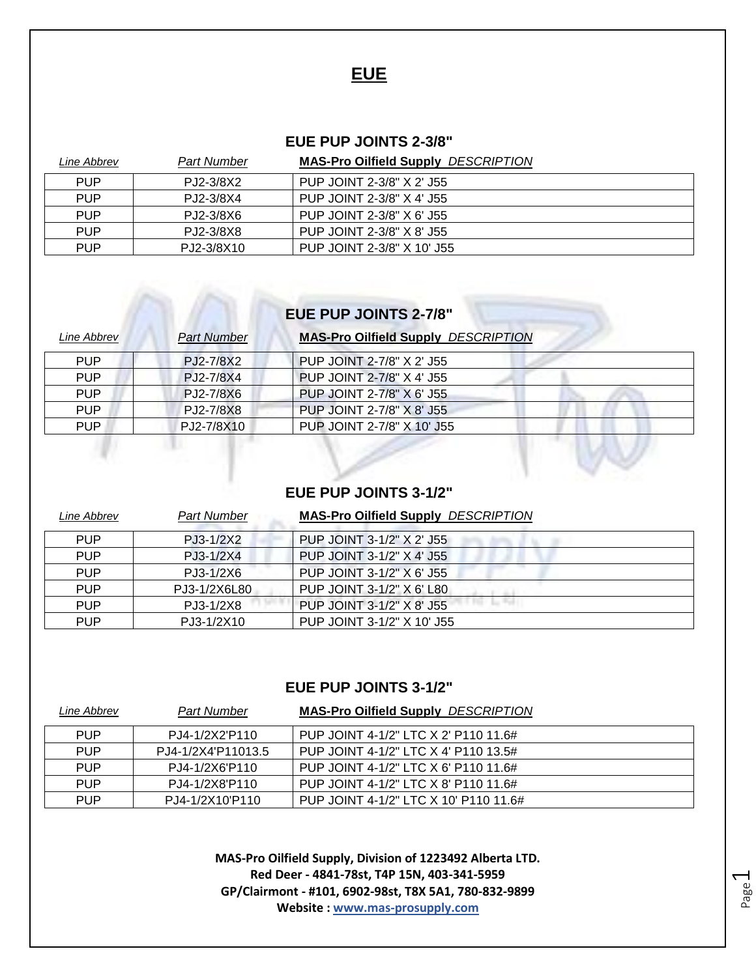### **EUE**

#### **EUE PUP JOINTS 2-3/8"**

| Line Abbrev | Part Number | <b>MAS-Pro Oilfield Supply DESCRIPTION</b> |
|-------------|-------------|--------------------------------------------|
| <b>PUP</b>  | PJ2-3/8X2   | PUP JOINT 2-3/8" X 2' J55                  |
| <b>PUP</b>  | PJ2-3/8X4   | PUP JOINT 2-3/8" X 4' J55                  |
| <b>PUP</b>  | PJ2-3/8X6   | PUP JOINT 2-3/8" X 6' J55                  |
| <b>PUP</b>  | PJ2-3/8X8   | PUP JOINT 2-3/8" X 8' J55                  |
| <b>PUP</b>  | PJ2-3/8X10  | PUP JOINT 2-3/8" X 10' J55                 |

## **EUE PUP JOINTS 2-7/8"**

| Line Abbrev | <b>Part Number</b> | <b>MAS-Pro Oilfield Supply DESCRIPTION</b> |  |
|-------------|--------------------|--------------------------------------------|--|
| <b>PUP</b>  | PJ2-7/8X2          | PUP JOINT 2-7/8" X 2' J55                  |  |
| <b>PUP</b>  | PJ2-7/8X4          | PUP JOINT 2-7/8" X 4' J55                  |  |
| <b>PUP</b>  | PJ2-7/8X6          | PUP JOINT 2-7/8" X 6' J55                  |  |
| <b>PUP</b>  | PJ2-7/8X8          | PUP JOINT 2-7/8" X 8' J55                  |  |
| <b>PUP</b>  | PJ2-7/8X10         | PUP JOINT 2-7/8" X 10' J55                 |  |
|             |                    |                                            |  |

### **EUE PUP JOINTS 3-1/2"**

| Line Abbrev | <b>Part Number</b> | <b>MAS-Pro Oilfield Supply DESCRIPTION</b> |
|-------------|--------------------|--------------------------------------------|
| <b>PUP</b>  | PJ3-1/2X2          | PUP JOINT 3-1/2" X 2' J55                  |
| <b>PUP</b>  | PJ3-1/2X4          | PUP JOINT 3-1/2" X 4" J55                  |
| <b>PUP</b>  | PJ3-1/2X6          | PUP JOINT 3-1/2" X 6' J55                  |
| <b>PUP</b>  | PJ3-1/2X6L80       | PUP JOINT 3-1/2" X 6' L80                  |
| <b>PUP</b>  | PJ3-1/2X8          | PUP JOINT 3-1/2" X 8' J55                  |
| <b>PUP</b>  | PJ3-1/2X10         | PUP JOINT 3-1/2" X 10' J55                 |

### **EUE PUP JOINTS 3-1/2"**

| Line Abbrev | Part Number        | <b>MAS-Pro Oilfield Supply DESCRIPTION</b> |
|-------------|--------------------|--------------------------------------------|
| <b>PUP</b>  | PJ4-1/2X2'P110     | PUP JOINT 4-1/2" LTC X 2' P110 11.6#       |
| <b>PUP</b>  | PJ4-1/2X4'P11013.5 | PUP JOINT 4-1/2" LTC X 4' P110 13.5#       |
| <b>PUP</b>  | PJ4-1/2X6'P110     | PUP JOINT 4-1/2" LTC X 6' P110 11.6#       |
| <b>PUP</b>  | PJ4-1/2X8'P110     | PUP JOINT 4-1/2" LTC X 8' P110 11.6#       |
| <b>PUP</b>  | PJ4-1/2X10'P110    | PUP JOINT 4-1/2" LTC X 10' P110 11.6#      |

**MAS-Pro Oilfield Supply, Division of 1223492 Alberta LTD. Red Deer - 4841-78st, T4P 15N, 403-341-5959 GP/Clairmont - #101, 6902-98st, T8X 5A1, 780-832-9899 Website : www.mas-prosupply.com**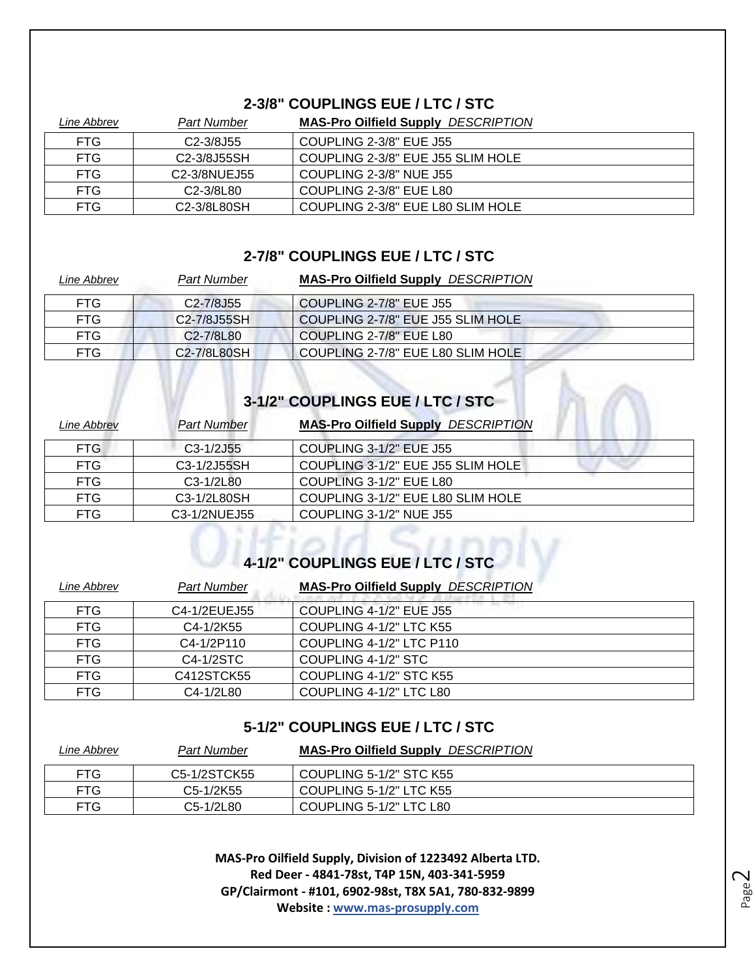### **2-3/8" COUPLINGS EUE / LTC / STC**

| Line Abbrev | Part Number                           | <b>MAS-Pro Oilfield Supply DESCRIPTION</b> |
|-------------|---------------------------------------|--------------------------------------------|
| FTG.        | C <sub>2</sub> -3/8J <sub>55</sub>    | COUPLING 2-3/8" EUE J55                    |
| FTG.        | C <sub>2</sub> -3/8J55SH              | COUPLING 2-3/8" EUE J55 SLIM HOLE          |
| FTG.        | C <sub>2</sub> -3/8NUEJ <sub>55</sub> | COUPLING 2-3/8" NUE J55                    |
| FTG.        | C <sub>2</sub> -3/8L <sub>80</sub>    | COUPLING 2-3/8" EUE L80                    |
| FTG.        | C <sub>2</sub> -3/8L80SH              | COUPLING 2-3/8" EUE L80 SLIM HOLE          |

### **2-7/8" COUPLINGS EUE / LTC / STC**

| Part Number                           | <b>MAS-Pro Oilfield Supply DESCRIPTION</b> |
|---------------------------------------|--------------------------------------------|
| C <sub>2</sub> -7/8J <sub>55</sub>    | COUPLING 2-7/8" EUE J55                    |
| C <sub>2</sub> -7/8J <sub>55</sub> SH | COUPLING 2-7/8" EUE J55 SLIM HOLE          |
| C <sub>2</sub> -7/8L <sub>80</sub>    | COUPLING 2-7/8" EUE L80                    |
| C2-7/8L80SH                           | COUPLING 2-7/8" EUE L80 SLIM HOLE          |
|                                       |                                            |

# **3-1/2" COUPLINGS EUE / LTC / STC**

| Line Abbrev | <b>Part Number</b> | <b>MAS-Pro Oilfield Supply DESCRIPTION</b> |
|-------------|--------------------|--------------------------------------------|
| FTG.        | $C3-1/2J55$        | COUPLING 3-1/2" EUE J55                    |
| FTG.        | C3-1/2J55SH        | COUPLING 3-1/2" EUE J55 SLIM HOLE          |
| FTG         | $C3-1/2L80$        | COUPLING 3-1/2" EUE L80                    |
| <b>FTG</b>  | C3-1/2L80SH        | COUPLING 3-1/2" EUE L80 SLIM HOLE          |
| FTG.        | C3-1/2NUEJ55       | COUPLING 3-1/2" NUE J55                    |

# **4-1/2" COUPLINGS EUE / LTC / STC**

| Line Abbrev | <b>Part Number</b> | <b>MAS-Pro Oilfield Supply DESCRIPTION</b> |
|-------------|--------------------|--------------------------------------------|
| <b>FTG</b>  | C4-1/2EUEJ55       | COUPLING 4-1/2" EUE J55                    |
| <b>FTG</b>  | C4-1/2K55          | COUPLING 4-1/2" LTC K55                    |
| <b>FTG</b>  | C4-1/2P110         | COUPLING 4-1/2" LTC P110                   |
| <b>FTG</b>  | C4-1/2STC          | COUPLING 4-1/2" STC                        |
| <b>FTG</b>  | C412STCK55         | COUPLING 4-1/2" STC K55                    |
| <b>FTG</b>  | C4-1/2L80          | COUPLING 4-1/2" LTC L80                    |

### **5-1/2" COUPLINGS EUE / LTC / STC**

| Line Abbrev | <b>Part Number</b> | <b>MAS-Pro Oilfield Supply DESCRIPTION</b> |
|-------------|--------------------|--------------------------------------------|
| <b>FTG</b>  | C5-1/2STCK55       | COUPLING 5-1/2" STC K55                    |
| <b>FTG</b>  | C5-1/2K55          | COUPLING 5-1/2" LTC K55                    |
| <b>FTG</b>  | C5-1/2L80          | COUPLING 5-1/2" LTC L80                    |

**MAS-Pro Oilfield Supply, Division of 1223492 Alberta LTD. Red Deer - 4841-78st, T4P 15N, 403-341-5959 GP/Clairmont - #101, 6902-98st, T8X 5A1, 780-832-9899 Website : www.mas-prosupply.com**

Page  $\mathrel{\sim}$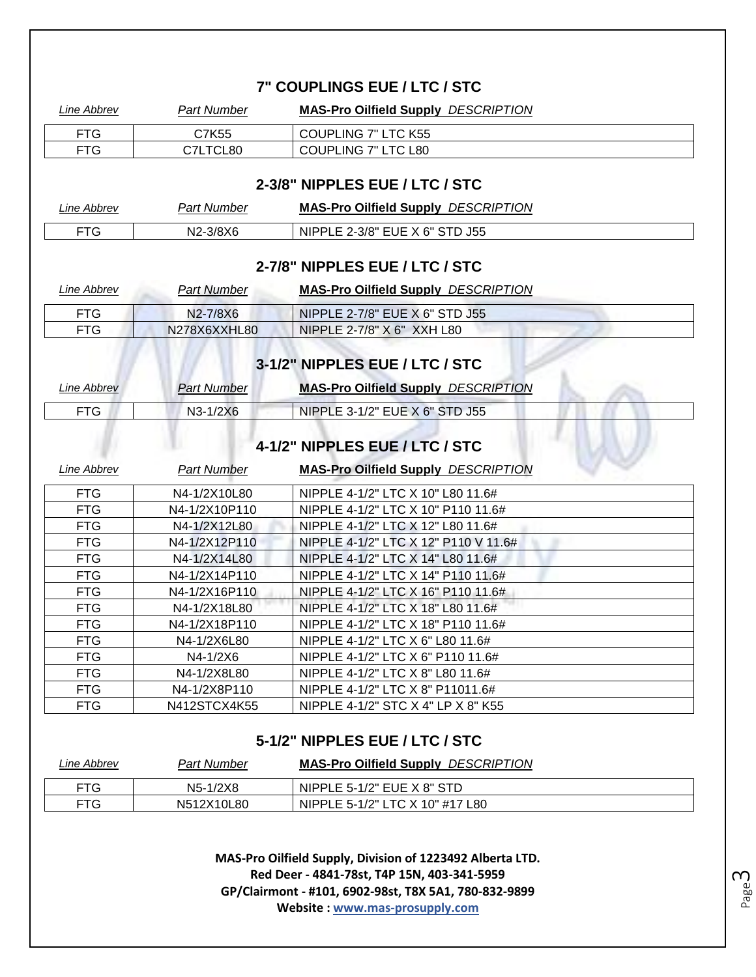| Line Abbrev        | <b>Part Number</b> | <b>MAS-Pro Oilfield Supply DESCRIPTION</b>                              |
|--------------------|--------------------|-------------------------------------------------------------------------|
| <b>FTG</b>         | C7K55              | <b>COUPLING 7" LTC K55</b>                                              |
| <b>FTG</b>         | C7LTCL80           | COUPLING 7" LTC L80                                                     |
|                    |                    |                                                                         |
|                    |                    | 2-3/8" NIPPLES EUE / LTC / STC                                          |
| <b>Line Abbrev</b> | <b>Part Number</b> | <b>MAS-Pro Oilfield Supply DESCRIPTION</b>                              |
| <b>FTG</b>         | N2-3/8X6           | NIPPLE 2-3/8" EUE X 6" STD J55                                          |
|                    |                    | 2-7/8" NIPPLES EUE / LTC / STC                                          |
|                    |                    |                                                                         |
| Line Abbrev        | <b>Part Number</b> | <b>MAS-Pro Oilfield Supply DESCRIPTION</b>                              |
| <b>FTG</b>         | N2-7/8X6           | NIPPLE 2-7/8" EUE X 6" STD J55                                          |
| <b>FTG</b>         | N278X6XXHL80       | NIPPLE 2-7/8" X 6" XXH L80                                              |
|                    |                    |                                                                         |
|                    |                    | 3-1/2" NIPPLES EUE / LTC / STC                                          |
| Line Abbrev        | <b>Part Number</b> | <b>MAS-Pro Oilfield Supply DESCRIPTION</b>                              |
| <b>FTG</b>         | N3-1/2X6           | NIPPLE 3-1/2" EUE X 6" STD J55                                          |
|                    |                    | 4-1/2" NIPPLES EUE / LTC / STC                                          |
| Line Abbrev        | <b>Part Number</b> | <b>MAS-Pro Oilfield Supply DESCRIPTION</b>                              |
| <b>FTG</b>         | N4-1/2X10L80       |                                                                         |
| <b>FTG</b>         | N4-1/2X10P110      | NIPPLE 4-1/2" LTC X 10" L80 11.6#<br>NIPPLE 4-1/2" LTC X 10" P110 11.6# |
| <b>FTG</b>         | N4-1/2X12L80       | NIPPLE 4-1/2" LTC X 12" L80 11.6#                                       |
| <b>FTG</b>         | N4-1/2X12P110      | NIPPLE 4-1/2" LTC X 12" P110 V 11.6#                                    |
| <b>FTG</b>         | N4-1/2X14L80       | NIPPLE 4-1/2" LTC X 14" L80 11.6#                                       |
| <b>FTG</b>         | N4-1/2X14P110      | NIPPLE 4-1/2" LTC X 14" P110 11.6#                                      |
| <b>FTG</b>         | N4-1/2X16P110      | NIPPLE 4-1/2" LTC X 16" P110 11.6#                                      |
| <b>FTG</b>         | N4-1/2X18L80       | NIPPLE 4-1/2" LTC X 18" L80 11.6#                                       |
| FTG                | N4-1/2X18P110      | NIPPLE 4-1/2" LTC X 18" P110 11.6#                                      |
| <b>FTG</b>         | N4-1/2X6L80        | NIPPLE 4-1/2" LTC X 6" L80 11.6#                                        |
| <b>FTG</b>         | N4-1/2X6           | NIPPLE 4-1/2" LTC X 6" P110 11.6#                                       |
| <b>FTG</b>         | N4-1/2X8L80        | NIPPLE 4-1/2" LTC X 8" L80 11.6#                                        |
| <b>FTG</b>         | N4-1/2X8P110       | NIPPLE 4-1/2" LTC X 8" P11011.6#                                        |

| Line Abbrev | <b>Part Number</b> | <b>MAS-Pro Oilfield Supply DESCRIPTION</b> |
|-------------|--------------------|--------------------------------------------|
| <b>FTG</b>  | $N5-1/2X8$         | NIPPLE 5-1/2" EUE X 8" STD                 |
| <b>FTG</b>  | N512X10L80         | NIPPLE 5-1/2" LTC X 10" #17 L80            |

**MAS-Pro Oilfield Supply, Division of 1223492 Alberta LTD. Red Deer - 4841-78st, T4P 15N, 403-341-5959 GP/Clairmont - #101, 6902-98st, T8X 5A1, 780-832-9899 Website : www.mas-prosupply.com**

Page ന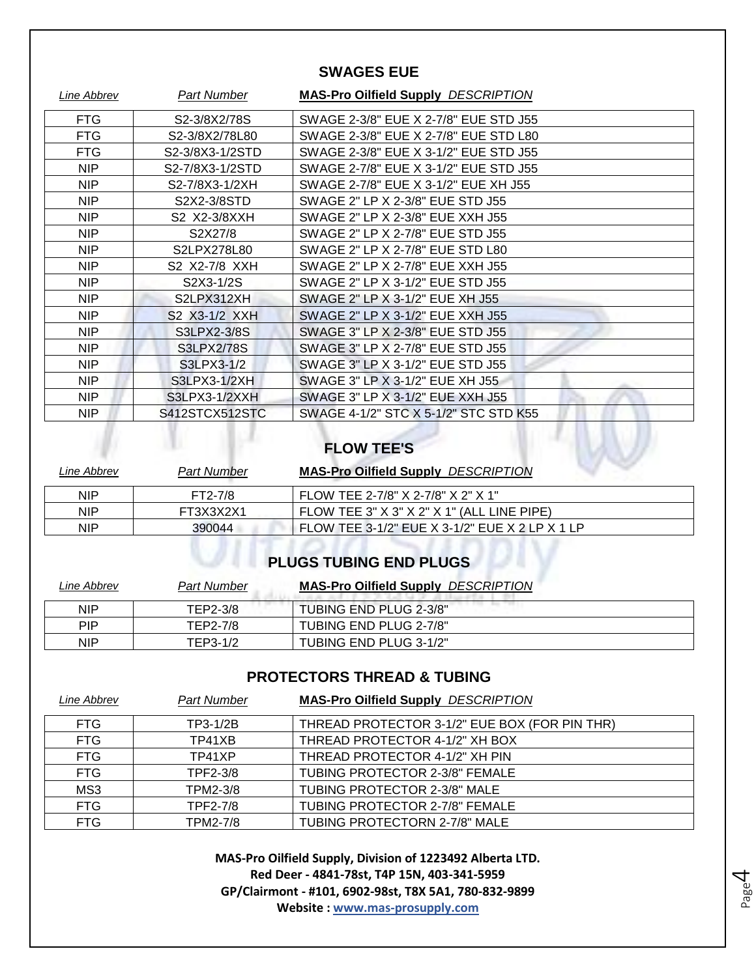### **SWAGES EUE**

| Line Abbrev       | <b>Part Number</b> | <b>MAS-Pro Oilfield Supply DESCRIPTION</b> |
|-------------------|--------------------|--------------------------------------------|
| FTG.              | S2-3/8X2/78S       | SWAGE 2-3/8" EUE X 2-7/8" EUE STD J55      |
| <b>FTG</b>        | S2-3/8X2/78L80     | SWAGE 2-3/8" EUE X 2-7/8" EUE STD L80      |
| <b>FTG</b>        | S2-3/8X3-1/2STD    | SWAGE 2-3/8" EUE X 3-1/2" EUE STD J55      |
| NIP.              | S2-7/8X3-1/2STD    | SWAGE 2-7/8" EUE X 3-1/2" EUE STD J55      |
| <b>NIP</b>        | S2-7/8X3-1/2XH     | SWAGE 2-7/8" EUE X 3-1/2" EUE XH J55       |
| <b>NIP</b>        | S2X2-3/8STD        | SWAGE 2" LP X 2-3/8" EUE STD J55           |
| NIP.              | S2 X2-3/8XXH       | SWAGE 2" LP X 2-3/8" EUE XXH J55           |
| <b>NIP</b>        | S2X27/8            | SWAGE 2" LP X 2-7/8" EUE STD J55           |
| NIP               | S2LPX278L80        | SWAGE 2" LP X 2-7/8" EUE STD L80           |
| NIP               | S2 X2-7/8 XXH      | SWAGE 2" LP X 2-7/8" EUE XXH J55           |
| <b>NIP</b>        | S2X3-1/2S          | SWAGE 2" LP X 3-1/2" EUE STD J55           |
| NIP.              | S2LPX312XH         | SWAGE 2" LP X 3-1/2" EUE XH J55            |
| <b>NIP</b>        | S2 X3-1/2 XXH      | SWAGE 2" LP X 3-1/2" EUE XXH J55           |
| <b>NIP</b>        | S3LPX2-3/8S        | SWAGE 3" LP X 2-3/8" EUE STD J55           |
| NIP.              | <b>S3LPX2/78S</b>  | SWAGE 3" LP X 2-7/8" EUE STD J55           |
| <b>NIP</b>        | S3LPX3-1/2         | SWAGE 3" LP X 3-1/2" EUE STD J55           |
| NIP.              | S3LPX3-1/2XH       | SWAGE 3" LP X 3-1/2" EUE XH J55            |
| <b>NIP</b>        | S3LPX3-1/2XXH      | SWAGE 3" LP X 3-1/2" EUE XXH J55           |
| NIP               | S412STCX512STC     | SWAGE 4-1/2" STC X 5-1/2" STC STD K55      |
| <b>FLOW TEE'S</b> |                    |                                            |

| Line Abbrev | Part Number | <b>MAS-Pro Oilfield Supply DESCRIPTION</b>     |
|-------------|-------------|------------------------------------------------|
| <b>NIP</b>  | FT2-7/8     | FLOW TEE 2-7/8" X 2-7/8" X 2" X 1"             |
| <b>NIP</b>  | FT3X3X2X1   | FLOW TEE $3" X 3" X 2" X 1" (ALL LINE P IPE)$  |
| <b>NIP</b>  | 390044      | FLOW TEE 3-1/2" EUE X 3-1/2" EUE X 2 LP X 1 LP |

### **PLUGS TUBING END PLUGS**

| Line Abbrev | <b>Part Number</b> | <b>MAS-Pro Oilfield Supply DESCRIPTION</b> |
|-------------|--------------------|--------------------------------------------|
| <b>NIP</b>  | TEP2-3/8           | TUBING END PLUG 2-3/8"                     |
| PIP         | TEP2-7/8           | TUBING END PLUG 2-7/8"                     |
| <b>NIP</b>  | TEP3-1/2           | TUBING END PLUG 3-1/2"                     |

### **PROTECTORS THREAD & TUBING**

| Line Abbrev | <b>Part Number</b> | <b>MAS-Pro Oilfield Supply DESCRIPTION</b>    |
|-------------|--------------------|-----------------------------------------------|
| FTG.        | TP3-1/2B           | THREAD PROTECTOR 3-1/2" EUE BOX (FOR PIN THR) |
| <b>FTG</b>  | TP41XB             | THREAD PROTECTOR 4-1/2" XH BOX                |
| <b>FTG</b>  | TP41XP             | THREAD PROTECTOR 4-1/2" XH PIN                |
| <b>FTG</b>  | TPF2-3/8           | <b>TUBING PROTECTOR 2-3/8" FEMALE</b>         |
| MS3         | TPM2-3/8           | TUBING PROTECTOR 2-3/8" MALE                  |
| <b>FTG</b>  | TPF2-7/8           | TUBING PROTECTOR 2-7/8" FEMALE                |
| <b>FTG</b>  | <b>TPM2-7/8</b>    | TUBING PROTECTORN 2-7/8" MALE                 |

**MAS-Pro Oilfield Supply, Division of 1223492 Alberta LTD. Red Deer - 4841-78st, T4P 15N, 403-341-5959 GP/Clairmont - #101, 6902-98st, T8X 5A1, 780-832-9899 Website : www.mas-prosupply.com**

Page 4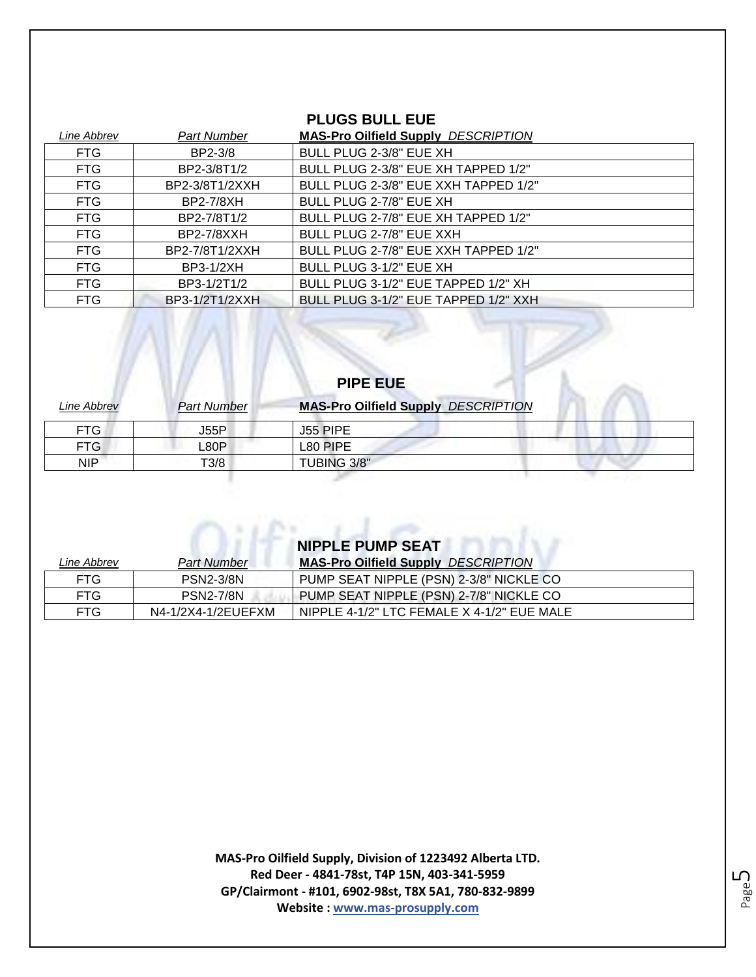### **PLUGS BULL EUE**

| Line Abbrev | <b>Part Number</b> | <b>MAS-Pro Oilfield Supply DESCRIPTION</b> |
|-------------|--------------------|--------------------------------------------|
| FTG         | BP2-3/8            | BULL PLUG 2-3/8" EUE XH                    |
| <b>FTG</b>  | BP2-3/8T1/2        | BULL PLUG 2-3/8" EUE XH TAPPED 1/2"        |
| <b>FTG</b>  | BP2-3/8T1/2XXH     | BULL PLUG 2-3/8" EUE XXH TAPPED 1/2"       |
| <b>FTG</b>  | <b>BP2-7/8XH</b>   | BULL PLUG 2-7/8" EUE XH                    |
| <b>FTG</b>  | BP2-7/8T1/2        | BULL PLUG 2-7/8" EUE XH TAPPED 1/2"        |
| <b>FTG</b>  | <b>BP2-7/8XXH</b>  | BULL PLUG 2-7/8" EUE XXH                   |
| <b>FTG</b>  | BP2-7/8T1/2XXH     | BULL PLUG 2-7/8" EUE XXH TAPPED 1/2"       |
| <b>FTG</b>  | BP3-1/2XH          | BULL PLUG 3-1/2" EUE XH                    |
| <b>FTG</b>  | BP3-1/2T1/2        | BULL PLUG 3-1/2" EUE TAPPED 1/2" XH        |
| <b>FTG</b>  | BP3-1/2T1/2XXH     | BULL PLUG 3-1/2" EUE TAPPED 1/2" XXH       |
|             |                    |                                            |
|             |                    |                                            |

| Line Abbrev | <b>Part Number</b> | <b>MAS-Pro Oilfield Supply DESCRIPTION</b> |
|-------------|--------------------|--------------------------------------------|
| FTG.        | J55P               | J <sub>55</sub> PIPE                       |
| <b>FTG</b>  | _80P               | L80 PIPE                                   |
| <b>NIP</b>  | T3/8               | <b>TUBING 3/8"</b>                         |
|             |                    |                                            |

**PIPE EUE**

| <b>NIPPLE PUMP SEAT</b> |  |
|-------------------------|--|
|-------------------------|--|

 $\cap$ 

| Line Abbrev | <b>Part Number</b> | <b>MAS-Pro Oilfield Supply DESCRIPTION</b> |
|-------------|--------------------|--------------------------------------------|
| <b>FTG</b>  | <b>PSN2-3/8N</b>   | PUMP SEAT NIPPLE (PSN) 2-3/8" NICKLE CO    |
| FTG.        | <b>PSN2-7/8N</b>   | PUMP SEAT NIPPLE (PSN) 2-7/8" NICKLE CO    |
| FTG.        | N4-1/2X4-1/2EUEFXM | NIPPLE 4-1/2" LTC FEMALE X 4-1/2" EUE MALE |

**MAS-Pro Oilfield Supply, Division of 1223492 Alberta LTD. Red Deer - 4841-78st, T4P 15N, 403-341-5959 GP/Clairmont - #101, 6902-98st, T8X 5A1, 780-832-9899 Website : www.mas-prosupply.com**